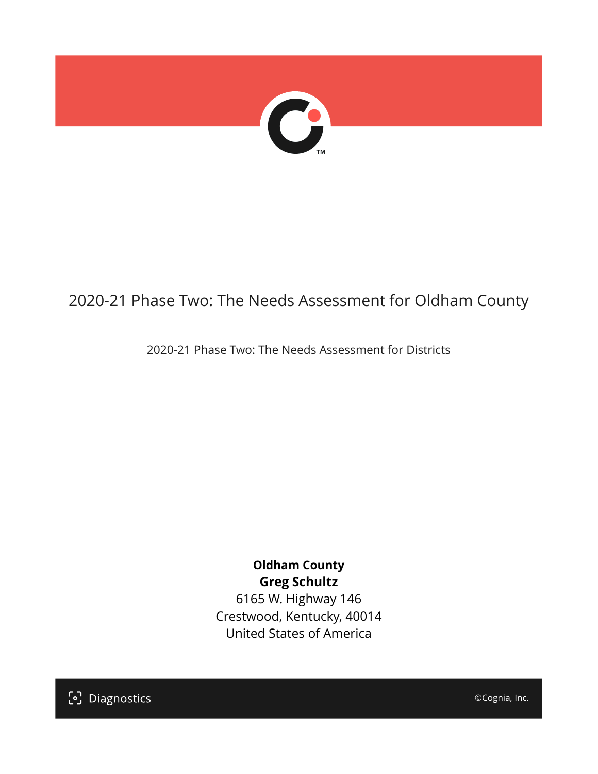

## 2020-21 Phase Two: The Needs Assessment for Oldham County

2020-21 Phase Two: The Needs Assessment for Districts

**Oldham County Greg Schultz** 6165 W. Highway 146 Crestwood, Kentucky, 40014 United States of America

[၁] Diagnostics

©Cognia, Inc.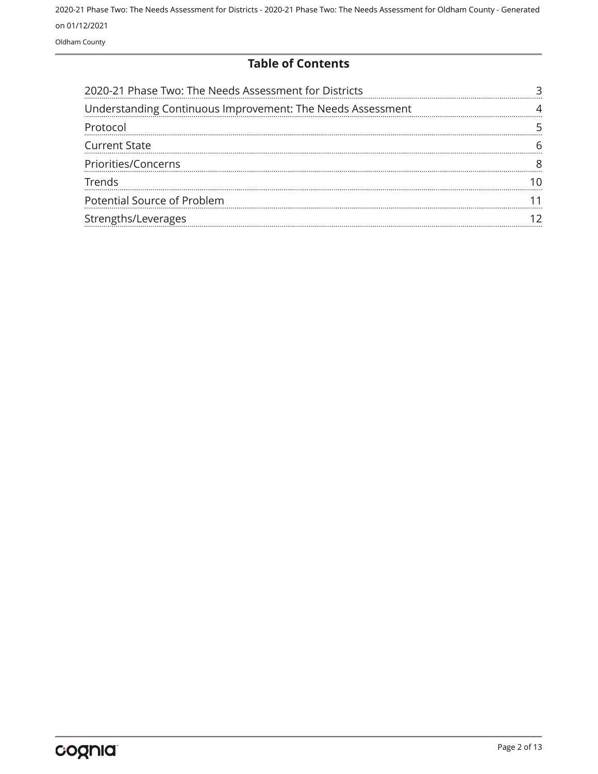Oldham County

#### **Table of Contents**

| 2020-21 Phase Two: The Needs Assessment for Districts      |  |
|------------------------------------------------------------|--|
| Understanding Continuous Improvement: The Needs Assessment |  |
| Protocol                                                   |  |
| <b>Current State</b>                                       |  |
| Priorities/Concerns                                        |  |
| Trends                                                     |  |
| Potential Source of Problem                                |  |
| Strengths/Leverages                                        |  |
|                                                            |  |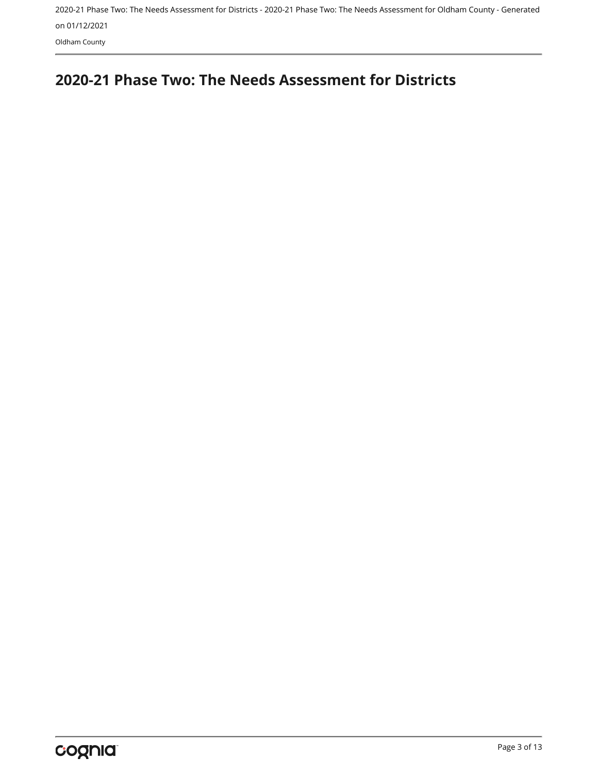Oldham County

## <span id="page-2-0"></span>**2020-21 Phase Two: The Needs Assessment for Districts**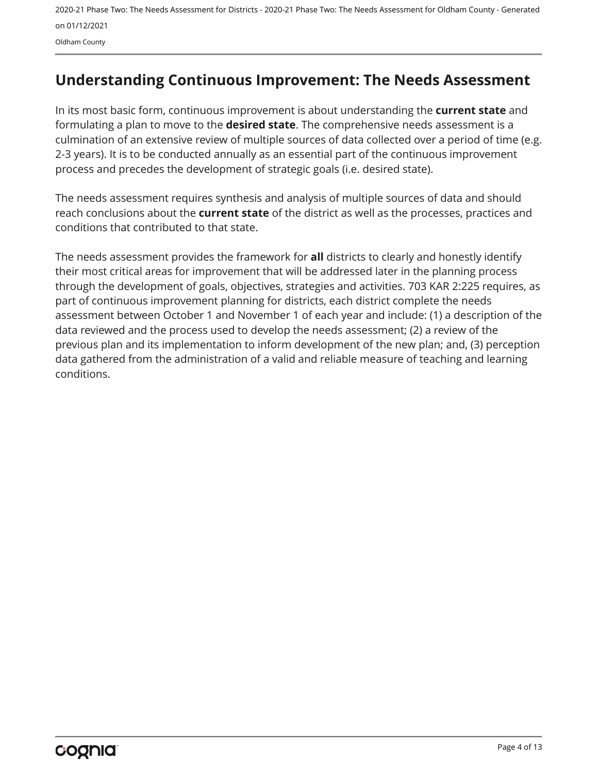Oldham County

## <span id="page-3-0"></span>**Understanding Continuous Improvement: The Needs Assessment**

In its most basic form, continuous improvement is about understanding the **current state** and formulating a plan to move to the **desired state**. The comprehensive needs assessment is a culmination of an extensive review of multiple sources of data collected over a period of time (e.g. 2-3 years). It is to be conducted annually as an essential part of the continuous improvement process and precedes the development of strategic goals (i.e. desired state).

The needs assessment requires synthesis and analysis of multiple sources of data and should reach conclusions about the **current state** of the district as well as the processes, practices and conditions that contributed to that state.

The needs assessment provides the framework for **all** districts to clearly and honestly identify their most critical areas for improvement that will be addressed later in the planning process through the development of goals, objectives, strategies and activities. 703 KAR 2:225 requires, as part of continuous improvement planning for districts, each district complete the needs assessment between October 1 and November 1 of each year and include: (1) a description of the data reviewed and the process used to develop the needs assessment; (2) a review of the previous plan and its implementation to inform development of the new plan; and, (3) perception data gathered from the administration of a valid and reliable measure of teaching and learning conditions.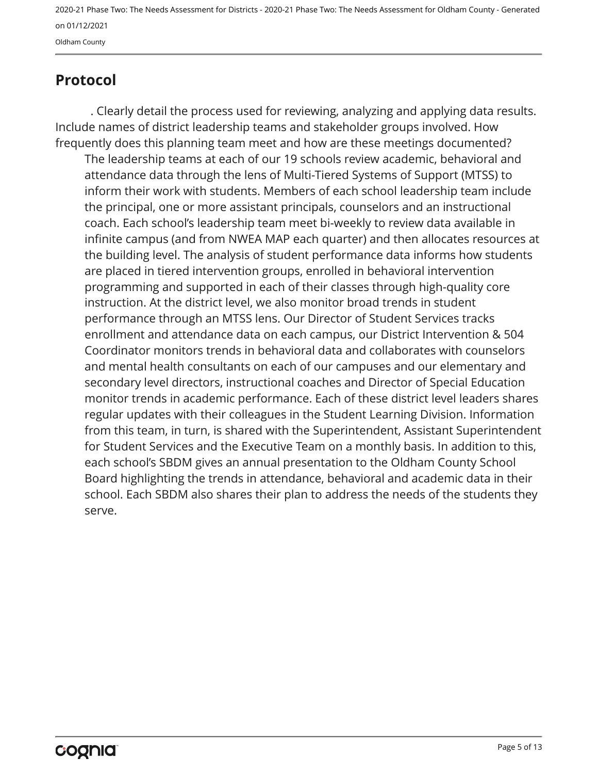Oldham County

## <span id="page-4-0"></span>**Protocol**

. Clearly detail the process used for reviewing, analyzing and applying data results. Include names of district leadership teams and stakeholder groups involved. How frequently does this planning team meet and how are these meetings documented?

The leadership teams at each of our 19 schools review academic, behavioral and attendance data through the lens of Multi-Tiered Systems of Support (MTSS) to inform their work with students. Members of each school leadership team include the principal, one or more assistant principals, counselors and an instructional coach. Each school's leadership team meet bi-weekly to review data available in infinite campus (and from NWEA MAP each quarter) and then allocates resources at the building level. The analysis of student performance data informs how students are placed in tiered intervention groups, enrolled in behavioral intervention programming and supported in each of their classes through high-quality core instruction. At the district level, we also monitor broad trends in student performance through an MTSS lens. Our Director of Student Services tracks enrollment and attendance data on each campus, our District Intervention & 504 Coordinator monitors trends in behavioral data and collaborates with counselors and mental health consultants on each of our campuses and our elementary and secondary level directors, instructional coaches and Director of Special Education monitor trends in academic performance. Each of these district level leaders shares regular updates with their colleagues in the Student Learning Division. Information from this team, in turn, is shared with the Superintendent, Assistant Superintendent for Student Services and the Executive Team on a monthly basis. In addition to this, each school's SBDM gives an annual presentation to the Oldham County School Board highlighting the trends in attendance, behavioral and academic data in their school. Each SBDM also shares their plan to address the needs of the students they serve.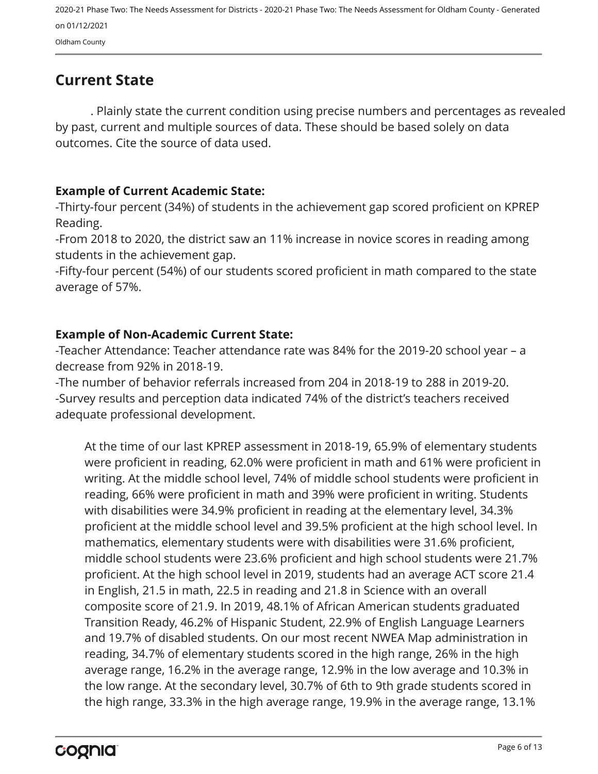Oldham County

## <span id="page-5-0"></span>**Current State**

. Plainly state the current condition using precise numbers and percentages as revealed by past, current and multiple sources of data. These should be based solely on data outcomes. Cite the source of data used.

#### **Example of Current Academic State:**

-Thirty-four percent (34%) of students in the achievement gap scored proficient on KPREP Reading.

-From 2018 to 2020, the district saw an 11% increase in novice scores in reading among students in the achievement gap.

-Fifty-four percent (54%) of our students scored proficient in math compared to the state average of 57%.

#### **Example of Non-Academic Current State:**

-Teacher Attendance: Teacher attendance rate was 84% for the 2019-20 school year – a decrease from 92% in 2018-19.

-The number of behavior referrals increased from 204 in 2018-19 to 288 in 2019-20. -Survey results and perception data indicated 74% of the district's teachers received adequate professional development.

At the time of our last KPREP assessment in 2018-19, 65.9% of elementary students were proficient in reading, 62.0% were proficient in math and 61% were proficient in writing. At the middle school level, 74% of middle school students were proficient in reading, 66% were proficient in math and 39% were proficient in writing. Students with disabilities were 34.9% proficient in reading at the elementary level, 34.3% proficient at the middle school level and 39.5% proficient at the high school level. In mathematics, elementary students were with disabilities were 31.6% proficient, middle school students were 23.6% proficient and high school students were 21.7% proficient. At the high school level in 2019, students had an average ACT score 21.4 in English, 21.5 in math, 22.5 in reading and 21.8 in Science with an overall composite score of 21.9. In 2019, 48.1% of African American students graduated Transition Ready, 46.2% of Hispanic Student, 22.9% of English Language Learners and 19.7% of disabled students. On our most recent NWEA Map administration in reading, 34.7% of elementary students scored in the high range, 26% in the high average range, 16.2% in the average range, 12.9% in the low average and 10.3% in the low range. At the secondary level, 30.7% of 6th to 9th grade students scored in the high range, 33.3% in the high average range, 19.9% in the average range, 13.1%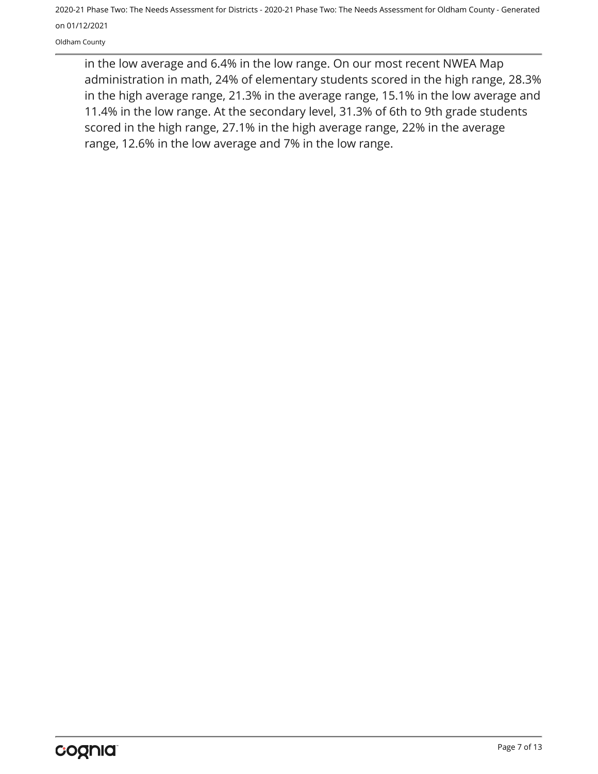Oldham County

in the low average and 6.4% in the low range. On our most recent NWEA Map administration in math, 24% of elementary students scored in the high range, 28.3% in the high average range, 21.3% in the average range, 15.1% in the low average and 11.4% in the low range. At the secondary level, 31.3% of 6th to 9th grade students scored in the high range, 27.1% in the high average range, 22% in the average range, 12.6% in the low average and 7% in the low range.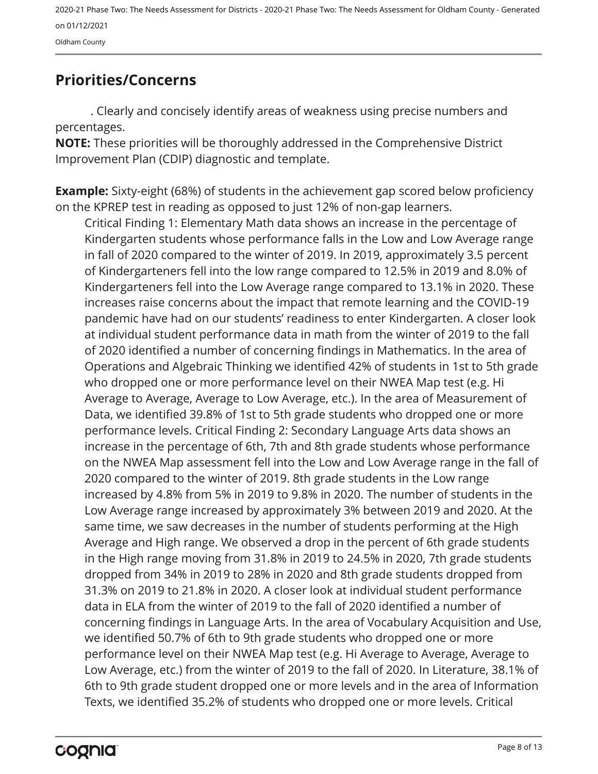Oldham County

## <span id="page-7-0"></span>**Priorities/Concerns**

. Clearly and concisely identify areas of weakness using precise numbers and percentages.

**NOTE:** These priorities will be thoroughly addressed in the Comprehensive District Improvement Plan (CDIP) diagnostic and template.

**Example:** Sixty-eight (68%) of students in the achievement gap scored below proficiency on the KPREP test in reading as opposed to just 12% of non-gap learners.

Critical Finding 1: Elementary Math data shows an increase in the percentage of Kindergarten students whose performance falls in the Low and Low Average range in fall of 2020 compared to the winter of 2019. In 2019, approximately 3.5 percent of Kindergarteners fell into the low range compared to 12.5% in 2019 and 8.0% of Kindergarteners fell into the Low Average range compared to 13.1% in 2020. These increases raise concerns about the impact that remote learning and the COVID-19 pandemic have had on our students' readiness to enter Kindergarten. A closer look at individual student performance data in math from the winter of 2019 to the fall of 2020 identified a number of concerning findings in Mathematics. In the area of Operations and Algebraic Thinking we identified 42% of students in 1st to 5th grade who dropped one or more performance level on their NWEA Map test (e.g. Hi Average to Average, Average to Low Average, etc.). In the area of Measurement of Data, we identified 39.8% of 1st to 5th grade students who dropped one or more performance levels. Critical Finding 2: Secondary Language Arts data shows an increase in the percentage of 6th, 7th and 8th grade students whose performance on the NWEA Map assessment fell into the Low and Low Average range in the fall of 2020 compared to the winter of 2019. 8th grade students in the Low range increased by 4.8% from 5% in 2019 to 9.8% in 2020. The number of students in the Low Average range increased by approximately 3% between 2019 and 2020. At the same time, we saw decreases in the number of students performing at the High Average and High range. We observed a drop in the percent of 6th grade students in the High range moving from 31.8% in 2019 to 24.5% in 2020, 7th grade students dropped from 34% in 2019 to 28% in 2020 and 8th grade students dropped from 31.3% on 2019 to 21.8% in 2020. A closer look at individual student performance data in ELA from the winter of 2019 to the fall of 2020 identified a number of concerning findings in Language Arts. In the area of Vocabulary Acquisition and Use, we identified 50.7% of 6th to 9th grade students who dropped one or more performance level on their NWEA Map test (e.g. Hi Average to Average, Average to Low Average, etc.) from the winter of 2019 to the fall of 2020. In Literature, 38.1% of 6th to 9th grade student dropped one or more levels and in the area of Information Texts, we identified 35.2% of students who dropped one or more levels. Critical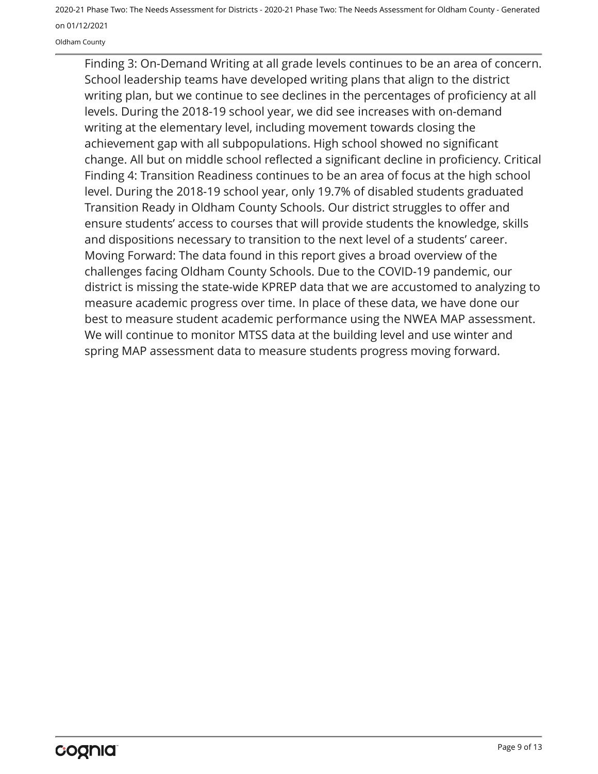Oldham County

Finding 3: On-Demand Writing at all grade levels continues to be an area of concern. School leadership teams have developed writing plans that align to the district writing plan, but we continue to see declines in the percentages of proficiency at all levels. During the 2018-19 school year, we did see increases with on-demand writing at the elementary level, including movement towards closing the achievement gap with all subpopulations. High school showed no significant change. All but on middle school reflected a significant decline in proficiency. Critical Finding 4: Transition Readiness continues to be an area of focus at the high school level. During the 2018-19 school year, only 19.7% of disabled students graduated Transition Ready in Oldham County Schools. Our district struggles to offer and ensure students' access to courses that will provide students the knowledge, skills and dispositions necessary to transition to the next level of a students' career. Moving Forward: The data found in this report gives a broad overview of the challenges facing Oldham County Schools. Due to the COVID-19 pandemic, our district is missing the state-wide KPREP data that we are accustomed to analyzing to measure academic progress over time. In place of these data, we have done our best to measure student academic performance using the NWEA MAP assessment. We will continue to monitor MTSS data at the building level and use winter and spring MAP assessment data to measure students progress moving forward.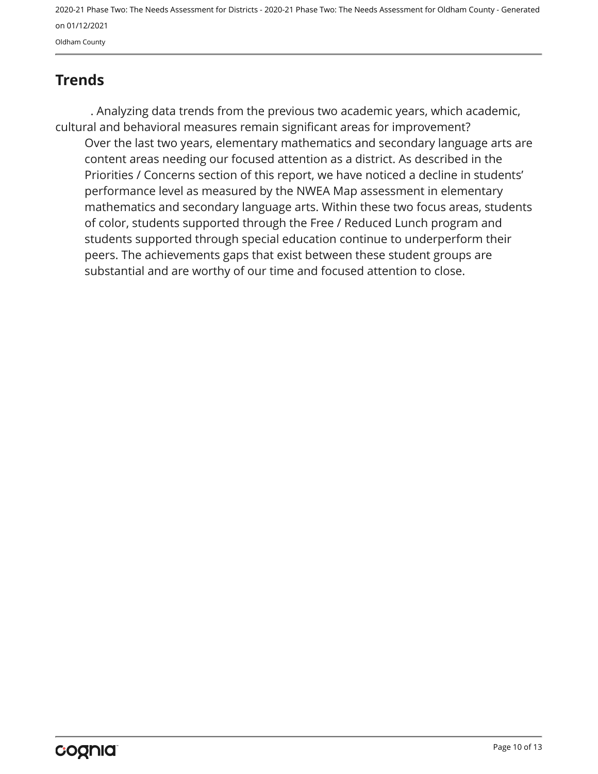<span id="page-9-0"></span>**Trends**

Over the last two years, elementary mathematics and secondary language arts are content areas needing our focused attention as a district. As described in the Priorities / Concerns section of this report, we have noticed a decline in students' performance level as measured by the NWEA Map assessment in elementary mathematics and secondary language arts. Within these two focus areas, students of color, students supported through the Free / Reduced Lunch program and students supported through special education continue to underperform their peers. The achievements gaps that exist between these student groups are substantial and are worthy of our time and focused attention to close. . Analyzing data trends from the previous two academic years, which academic, cultural and behavioral measures remain significant areas for improvement?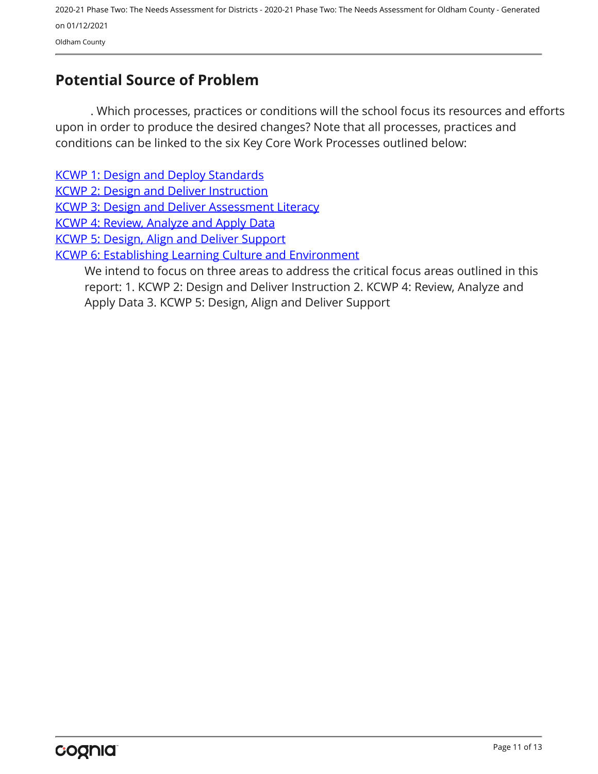## <span id="page-10-0"></span>**Potential Source of Problem**

. Which processes, practices or conditions will the school focus its resources and efforts upon in order to produce the desired changes? Note that all processes, practices and conditions can be linked to the six Key Core Work Processes outlined below:

[KCWP 1: Design and Deploy Standards](https://education.ky.gov/school/csip/Documents/KCWP 1 Strategic Design and Deploy Standards.pdf)

[KCWP 2: Design and Deliver Instruction](https://education.ky.gov/school/csip/Documents/KCWP%202%20Strategic%20Design%20and%20Deliver%20Instruction.pdf)

[KCWP 3: Design and Deliver Assessment Literacy](https://education.ky.gov/school/csip/Documents/KCWP%203%20Strategic%20Design%20and%20Deliver%20Assessment%20Literacy.pdf)

[KCWP 4: Review, Analyze and Apply Data](https://education.ky.gov/school/csip/Documents/KCWP 4 Strategic Review Analyze and Apply Data.pdf)

[KCWP 5: Design, Align and Deliver Support](https://education.ky.gov/school/csip/Documents/KCWP 5 Strategic Design Align Deliver Support Processes.pdf)

[KCWP 6: Establishing Learning Culture and Environment](https://education.ky.gov/school/csip/Documents/KCWP 6 Strategic Establish Learning Culture and Environment.pdf)

We intend to focus on three areas to address the critical focus areas outlined in this report: 1. KCWP 2: Design and Deliver Instruction 2. KCWP 4: Review, Analyze and Apply Data 3. KCWP 5: Design, Align and Deliver Support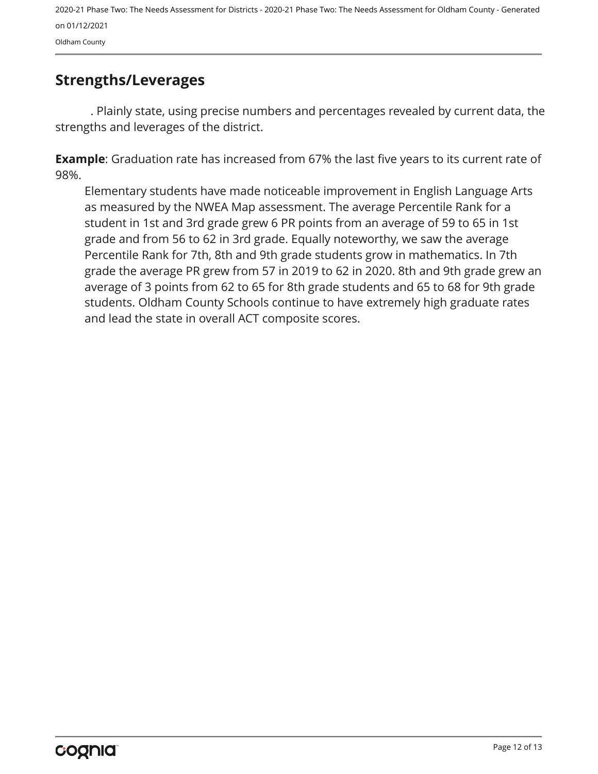Oldham County

## <span id="page-11-0"></span>**Strengths/Leverages**

. Plainly state, using precise numbers and percentages revealed by current data, the strengths and leverages of the district.

**Example**: Graduation rate has increased from 67% the last five years to its current rate of 98%.

Elementary students have made noticeable improvement in English Language Arts as measured by the NWEA Map assessment. The average Percentile Rank for a student in 1st and 3rd grade grew 6 PR points from an average of 59 to 65 in 1st grade and from 56 to 62 in 3rd grade. Equally noteworthy, we saw the average Percentile Rank for 7th, 8th and 9th grade students grow in mathematics. In 7th grade the average PR grew from 57 in 2019 to 62 in 2020. 8th and 9th grade grew an average of 3 points from 62 to 65 for 8th grade students and 65 to 68 for 9th grade students. Oldham County Schools continue to have extremely high graduate rates and lead the state in overall ACT composite scores.